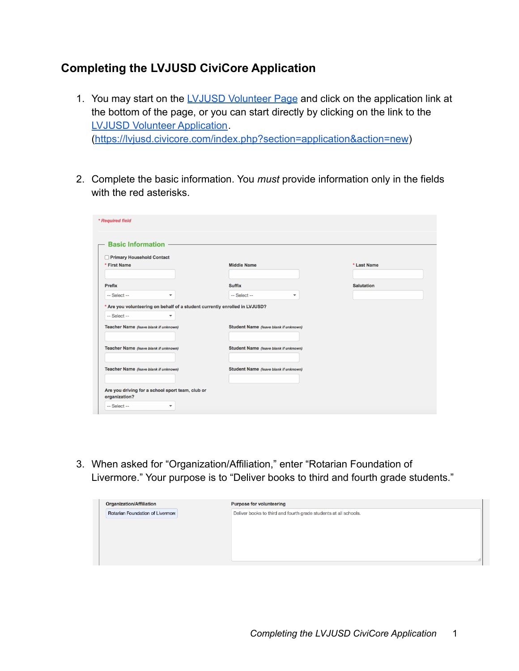## **Completing the LVJUSD CiviCore Application**

- 1. You may start on the [LVJUSD Volunteer Page](https://www.livermoreschools.org/domain/47) and click on the application link at the bottom of the page, or you can start directly by clicking on the link to the [LVJUSD Volunteer Application](https://lvjusd.civicore.com/index.php?section=application&action=new). (<https://lvjusd.civicore.com/index.php?section=application&action=new>)
- 2. Complete the basic information. You *must* provide information only in the fields with the red asterisks.

| Primary Household Contact             |                                       |                                          |                   |
|---------------------------------------|---------------------------------------|------------------------------------------|-------------------|
| * First Name                          |                                       | <b>Middle Name</b>                       | * Last Name       |
|                                       |                                       |                                          |                   |
| <b>Prefix</b>                         |                                       | <b>Suffix</b>                            | <b>Salutation</b> |
| -- Select --                          | ٠                                     | -- Select --<br>$\overline{\phantom{a}}$ |                   |
| Teacher Name (leave blank if unknown) |                                       | Student Name (leave blank if unknown)    |                   |
| Teacher Name (leave blank if unknown) |                                       | Student Name (leave blank if unknown)    |                   |
|                                       | Teacher Name (leave blank if unknown) | Student Name (leave blank if unknown)    |                   |

3. When asked for "Organization/Affiliation," enter "Rotarian Foundation of Livermore." Your purpose is to "Deliver books to third and fourth grade students."

| <b>Organization/Affiliation</b>         | <b>Purpose for volunteering</b>                                  |  |
|-----------------------------------------|------------------------------------------------------------------|--|
| <b>Rotarian Foundation of Livermore</b> | Deliver books to third and fourth grade students at all schools. |  |
|                                         |                                                                  |  |
|                                         |                                                                  |  |
|                                         |                                                                  |  |
|                                         |                                                                  |  |
|                                         |                                                                  |  |
|                                         |                                                                  |  |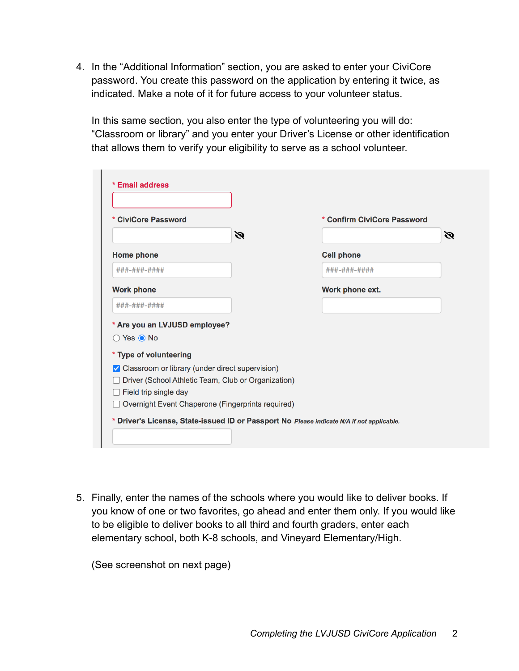4. In the "Additional Information" section, you are asked to enter your CiviCore password. You create this password on the application by entering it twice, as indicated. Make a note of it for future access to your volunteer status.

In this same section, you also enter the type of volunteering you will do: "Classroom or library" and you enter your Driver's License or other identification that allows them to verify your eligibility to serve as a school volunteer.

| * CiviCore Password                                 | * Confirm CiviCore Password |   |
|-----------------------------------------------------|-----------------------------|---|
| Ø                                                   |                             | Ø |
| <b>Home phone</b>                                   | <b>Cell phone</b>           |   |
| ###-###-####                                        | ###-###-####                |   |
| <b>Work phone</b>                                   | Work phone ext.             |   |
| ###-###-####                                        |                             |   |
| * Are you an LVJUSD employee?                       |                             |   |
| $\bigcirc$ Yes $\bigcirc$ No                        |                             |   |
| * Type of volunteering                              |                             |   |
| ✔ Classroom or library (under direct supervision)   |                             |   |
| Driver (School Athletic Team, Club or Organization) |                             |   |
| Field trip single day                               |                             |   |

5. Finally, enter the names of the schools where you would like to deliver books. If you know of one or two favorites, go ahead and enter them only. If you would like to be eligible to deliver books to all third and fourth graders, enter each elementary school, both K-8 schools, and Vineyard Elementary/High.

(See screenshot on next page)